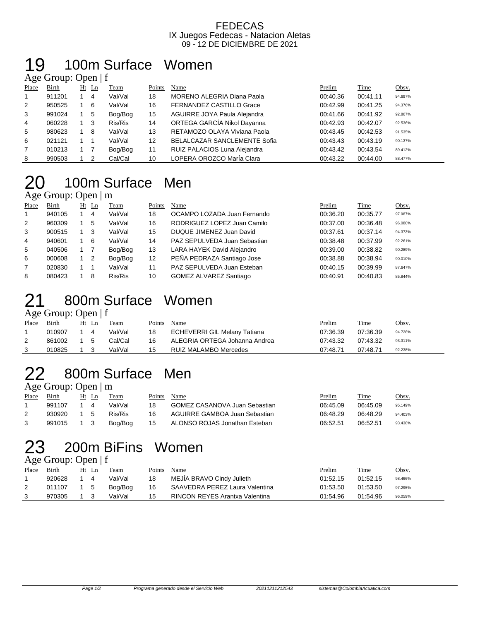#### FEDECAS IX Juegos Fedecas - Natacion Aletas 09 - 12 DE DICIEMBRE DE 2021

#### 100m Surface Women  $\overline{\Delta}$ ge Group: Open | f

|                | $T_{\rm X}$ UIVUP, UPVII   I |  |         |         |        |                                     |          |          |         |  |  |  |  |
|----------------|------------------------------|--|---------|---------|--------|-------------------------------------|----------|----------|---------|--|--|--|--|
| Place          | Birth                        |  | $Ht$ Ln | Team    | Points | Name                                | Prelim   | Time     | Obsv.   |  |  |  |  |
| $\overline{1}$ | 911201                       |  | 4       | Val/Val | 18     | <b>MORENO ALEGRIA Diana Paola</b>   | 00:40.36 | 00:41.11 | 94.697% |  |  |  |  |
| 2              | 950525                       |  | -6      | Val/Val | 16     | <b>FERNANDEZ CASTILLO Grace</b>     | 00:42.99 | 00:41.25 | 94.376% |  |  |  |  |
| 3              | 991024                       |  | 5       | Bog/Bog | 15     | AGUIRRE JOYA Paula Alejandra        | 00:41.66 | 00:41.92 | 92.867% |  |  |  |  |
| 4              | 060228                       |  | -3      | Ris/Ris | 14     | ORTEGA GARCÍA Nikol Dayanna         | 00:42.93 | 00:42.07 | 92.536% |  |  |  |  |
| 5              | 980623                       |  | -8      | Val/Val | 13     | RETAMOZO OLAYA Viviana Paola        | 00:43.45 | 00:42.53 | 91.535% |  |  |  |  |
| 6              | 021121                       |  |         | Val/Val | 12     | <b>BELALCAZAR SANCLEMENTE Sofia</b> | 00:43.43 | 00:43.19 | 90.137% |  |  |  |  |
| $\overline{7}$ | 010213                       |  |         | Bog/Bog | 11     | RUIZ PALACIOS Luna Alejandra        | 00:43.42 | 00:43.54 | 89.412% |  |  |  |  |
| 8              | 990503                       |  |         | Cal/Cal | 10     | LOPERA OROZCO María Clara           | 00:43.22 | 00:44.00 | 88.477% |  |  |  |  |

### 100m Surface Men Age Group: Open | m

|              | $1.50$ Oroup. Open $\mu$ m |  |         |         |        |                               |          |          |         |  |  |  |  |
|--------------|----------------------------|--|---------|---------|--------|-------------------------------|----------|----------|---------|--|--|--|--|
| Place        | Birth                      |  | $Ht$ Ln | Team    | Points | Name                          | Prelim   | Time     | Obsv.   |  |  |  |  |
| $\mathbf{1}$ | 940105                     |  | 4       | Val/Val | 18     | OCAMPO LOZADA Juan Fernando   | 00:36.20 | 00:35.77 | 97.987% |  |  |  |  |
| 2            | 960309                     |  | 5       | Val/Val | 16     | RODRIGUEZ LOPEZ Juan Camilo   | 00:37.00 | 00:36.48 | 96.080% |  |  |  |  |
| 3            | 900515                     |  | 3       | Val/Val | 15     | DUQUE JIMENEZ Juan David      | 00:37.61 | 00:37.14 | 94.373% |  |  |  |  |
| 4            | 940601                     |  | - 6     | Val/Val | 14     | PAZ SEPULVEDA Juan Sebastian  | 00:38.48 | 00:37.99 | 92.261% |  |  |  |  |
| 5            | 040506                     |  |         | Bog/Bog | 13     | LARA HAYEK David Alejandro    | 00:39.00 | 00:38.82 | 90.289% |  |  |  |  |
| 6            | 000608                     |  | - 2     | Bog/Bog | 12     | PEÑA PEDRAZA Santiago Jose    | 00:38.88 | 00:38.94 | 90.010% |  |  |  |  |
| 7            | 020830                     |  |         | Val/Val | 11     | PAZ SEPULVEDA Juan Esteban    | 00:40.15 | 00:39.99 | 87.647% |  |  |  |  |
| 8            | 080423                     |  | 8       | Ris/Ris | 10     | <b>GOMEZ ALVAREZ Santiago</b> | 00:40.91 | 00:40.83 | 85.844% |  |  |  |  |

## 21 800m Surface Women

#### Age Group: Open | f

| Place | Birth  | Ht Ln     | Team    | Points | Name                          | <b>Prelim</b> | Time     | <u>Obsv.</u> |
|-------|--------|-----------|---------|--------|-------------------------------|---------------|----------|--------------|
|       | 010907 | 14        | Val/Val | 18     | ECHEVERRI GIL Melany Tatiana  | 07:36.39      | 07:36.39 | 94.728%      |
| 2     | 861002 | $1\quad5$ | Cal/Cal | 16     | ALEGRIA ORTEGA Johanna Andrea | 07:43.32      | 07:43.32 | 93.311%      |
|       | 010825 | 1 3       | Val/Val | 15     | RUIZ MALAMBO Mercedes         | 07:48.71      | 07:48.71 | 92.238%      |
|       |        |           |         |        |                               |               |          |              |

## 800m Surface Men

Age Group: Open | m

| Place | Birth  | Ht |   | Team    | Points | Name                          | Prelim   | Time     | Obsv.   |
|-------|--------|----|---|---------|--------|-------------------------------|----------|----------|---------|
|       | 991107 |    |   | Val/Val | 18     | GOMEZ CASANOVA Juan Sebastian | 06:45.09 | 06:45.09 | 95.149% |
|       | 930920 |    | ∽ | Ris/Ris | 16     | AGUIRRE GAMBOA Juan Sebastian | 06:48.29 | 06:48.29 | 94.403% |
|       | 991015 |    |   | Bog/Bog | 15     | ALONSO ROJAS Jonathan Esteban | 06:52.51 | 06:52.51 | 93.438% |

### 200m BiFins Women

Age Group: Open | f

| Place | Birth  | Ht  | Ln | Team    | Points | Name                           | <u>Prelim</u> | <b>Time</b> | <u>Obsv.</u> |
|-------|--------|-----|----|---------|--------|--------------------------------|---------------|-------------|--------------|
|       | 920628 |     |    | Val/Val | 18     | MEJIA BRAVO Cindy Julieth      | 01:52.15      | 01:52.15    | 98.466%      |
|       | 011107 | 1 5 |    | Boa/Boa | 16     | SAAVEDRA PEREZ Laura Valentina | 01:53.50      | 01:53.50    | 97.295%      |
|       | 970305 |     |    | Val/Val | 15     | RINCON REYES Arantxa Valentina | 01:54.96      | 01:54.96    | 96.059%      |